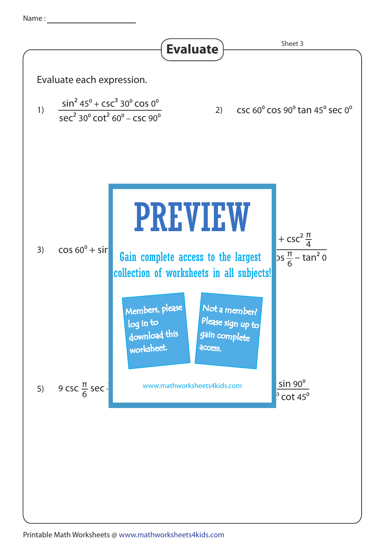